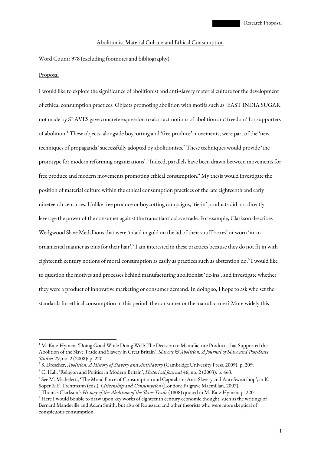## Abolitionist Material Culture and Ethical Consumption

Word Count: 978 (excluding footnotes and bibliography).

## Proposal

I would like to explore the significance of abolitionist and anti-slavery material culture for the development of ethical consumption practices. Objects promoting abolition with motifs such as 'EAST INDIA SUGAR not made by SLAVES gave concrete expression to abstract notions of abolition and freedom' for supporters of abolition.<sup>1</sup> These objects, alongside boycotting and 'free produce' movements, were part of the 'new techniques of propaganda' successfully adopted by abolitionists.<sup>2</sup> These techniques would provide 'the prototype for modern reforming organizations'.<sup>3</sup> Indeed, parallels have been drawn between movements for free produce and modern movements promoting ethical consumption.<sup>4</sup> My thesis would investigate the position of material culture within the ethical consumption practices of the late eighteenth and early nineteenth centuries. Unlike free produce or boycotting campaigns, 'tie-in' products did not directly leverage the power of the consumer against the transatlantic slave trade. For example, Clarkson describes Wedgwood Slave Medallions that were 'inlaid in gold on the lid of their snuff boxes' or worn 'in an ornamental manner as pins for their hair'.<sup>5</sup> I am interested in these practices because they do not fit in with eighteenth century notions of moral consumption as easily as practices such as abstention do.<sup>6</sup> I would like to question the motives and processes behind manufacturing abolitionist 'tie-ins', and investigate whether they were a product of innovative marketing or consumer demand. In doing so, I hope to ask who set the standards for ethical consumption in this period: the consumer or the manufacturer? More widely this

 $1^1$  M. Katz-Hymen, 'Doing Good While Doing Well: The Decision to Manufacture Products that Supported the Abolition of the Slave Trade and Slavery in Great Britain', *Slavery & Abolition: A Journal of Slave and Post-Slave Studies* 29, no. 2 (2008): p. 220.

<sup>2</sup> S. Drescher, *Abolition: A History of Slavery and Antislavery* (Cambridge University Press, 2009): p. 209.

<sup>3</sup> C. Hall, 'Religion and Politics in Modern Britain', *Historical Journal* 46, no. 2 (2003): p. 463.

<sup>4</sup> See M. Micheletti, 'The Moral Force of Consumption and Capitalism: Anti-Slavery and Anti-Sweatshop', in K. Soper & F. Trentmann (eds.), *Citizenship and Consumption* (London: Palgrave Macmillan, 2007).

<sup>5</sup> Thomas Clarkson's *History of the Abolition of the Slave Trade* (1808) quoted in M. Katz-Hymen, p. 220. 6 Here I would be able to draw upon key works of eighteenth century economic thought, such as the writings of Bernard Mandeville and Adam Smith, but also of Rousseau and other theorists who were more skeptical of conspicuous consumption.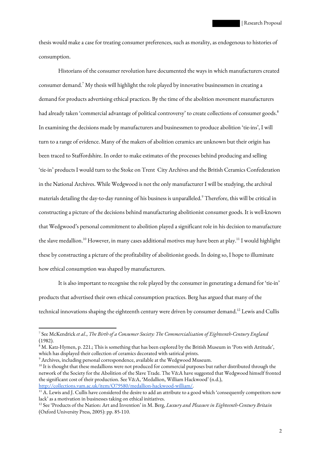thesis would make a case for treating consumer preferences, such as morality, as endogenous to histories of consumption.

Historians of the consumer revolution have documented the ways in which manufacturers created consumer demand.<sup>7</sup> My thesis will highlight the role played by innovative businessmen in creating a demand for products advertising ethical practices. By the time of the abolition movement manufacturers had already taken 'commercial advantage of political controversy' to create collections of consumer goods.<sup>8</sup> In examining the decisions made by manufacturers and businessmen to produce abolition 'tie-ins', I will turn to a range of evidence. Many of the makers of abolition ceramics are unknown but their origin has been traced to Staffordshire. In order to make estimates of the processes behind producing and selling 'tie-in' products I would turn to the Stoke on Trent City Archives and the British Ceramics Confederation in the National Archives. While Wedgwood is not the only manufacturer I will be studying, the archival materials detailing the day-to-day running of his business is unparalleled.<sup>9</sup> Therefore, this will be critical in constructing a picture of the decisions behind manufacturing abolitionist consumer goods. It is well-known that Wedgwood's personal commitment to abolition played a significant role in his decision to manufacture the slave medallion.<sup>10</sup> However, in many cases additional motives may have been at play.<sup>11</sup> I would highlight these by constructing a picture of the profitability of abolitionist goods. In doing so, I hope to illuminate how ethical consumption was shaped by manufacturers.

It is also important to recognise the role played by the consumer in generating a demand for 'tie-in' products that advertised their own ethical consumption practices. Berg has argued that many of the technical innovations shaping the eighteenth century were driven by consumer demand.<sup>12</sup> Lewis and Cullis

<sup>7</sup> See McKendrick *et al*., *The Birth of a Consumer Society: The Commercialisation of Eighteenth-Century England*  (1982).

 $^8$  M. Katz-Hymen, p. 221.; This is something that has been explored by the British Museum in 'Pots with Attitude', which has displayed their collection of ceramics decorated with satirical prints.

 $^9$  Archives, including personal correspondence, available at the Wedgwood Museum.

 $10$  It is thought that these medallions were not produced for commercial purposes but rather distributed through the network of the Society for the Abolition of the Slave Trade. The V&A have suggested that Wedgwood himself fronted the significant cost of their production. See V&A, 'Medallion, William Hackwood' (n.d.), http://collections.vam.ac.uk/item/O79580/medallion-hackwood-william/.

 $^{11}$  A. Lewis and J. Cullis have considered the desire to add an attribute to a good which 'consequently competitors now lack' as a motivation in businesses taking on ethical initiatives.

<sup>12</sup> See 'Products of the Nation: Art and Invention' in M. Berg, *Luxury and Pleasure in Eighteenth-Century Britain* (Oxford University Press, 2005): pp. 85-110.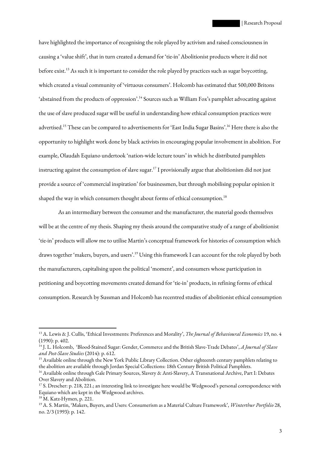have highlighted the importance of recognising the role played by activism and raised consciousness in causing a 'value shift', that in turn created a demand for 'tie-in' Abolitionist products where it did not before exist.<sup>13</sup> As such it is important to consider the role played by practices such as sugar boycotting, which created a visual community of 'virtuous consumers'. Holcomb has estimated that 500,000 Britons 'abstained from the products of oppression'.<sup>14</sup> Sources such as William Fox's pamphlet advocating against the use of slave produced sugar will be useful in understanding how ethical consumption practices were advertised.<sup>15</sup> These can be compared to advertisements for 'East India Sugar Basins'.<sup>16</sup> Here there is also the opportunity to highlight work done by black activists in encouraging popular involvement in abolition. For example, Olaudah Equiano undertook 'nation-wide lecture tours' in which he distributed pamphlets instructing against the consumption of slave sugar.<sup>17</sup> I provisionally argue that abolitionism did not just provide a source of 'commercial inspiration' for businessmen, but through mobilising popular opinion it shaped the way in which consumers thought about forms of ethical consumption.<sup>18</sup>

As an intermediary between the consumer and the manufacturer, the material goods themselves will be at the centre of my thesis. Shaping my thesis around the comparative study of a range of abolitionist 'tie-in' products will allow me to utilise Martin's conceptual framework for histories of consumption which draws together 'makers, buyers, and users'.<sup>19</sup> Using this framework I can account for the role played by both the manufacturers, capitalising upon the political 'moment', and consumers whose participation in petitioning and boycotting movements created demand for 'tie-in' products, in refining forms of ethical consumption. Research by Sussman and Holcomb has recentred studies of abolitionist ethical consumption

<sup>13</sup> A. Lewis & J. Cullis, 'Ethical Investments: Preferences and Morality', *The Journal of Behavioural Economics* 19, no. 4 (1990): p. 402.

<sup>14</sup> J. L. Holcomb, 'Blood-Stained Sugar: Gender, Commerce and the British Slave-Trade Debates', *A Journal of Slave and Post-Slave Studies* (2014): p. 612.

<sup>&</sup>lt;sup>15</sup> Available online through the New York Public Library Collection. Other eighteenth century pamphlets relating to the abolition are available through Jordan Special Collections: 18th Century British Political Pamphlets.

<sup>&</sup>lt;sup>16</sup> Available online through Gale Primary Sources, Slavery & Anti-Slavery, A Transnational Archive, Part I: Debates Over Slavery and Abolition.

<sup>&</sup>lt;sup>17</sup> S. Drescher: p. 218, 221.; an interesting link to investigate here would be Wedgwood's personal correspondence with Equiano which are kept in the Wedgwood archives.

<sup>&</sup>lt;sup>18</sup> M. Katz-Hymen, p. 221.

<sup>19</sup> A. S. Martin, 'Makers, Buyers, and Users: Consumerism as a Material Culture Framework', *Winterthur Portfolio* 28, no. 2/3 (1993): p. 142.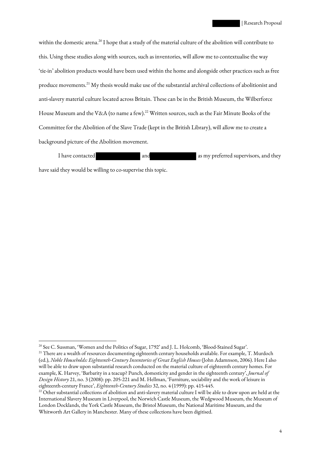within the domestic arena.<sup>20</sup> I hope that a study of the material culture of the abolition will contribute to this. Using these studies along with sources, such as inventories, will allow me to contextualise the way 'tie-in' abolition products would have been used within the home and alongside other practices such as free produce movements.<sup>21</sup> My thesis would make use of the substantial archival collections of abolitionist and anti-slavery material culture located across Britain. These can be in the British Museum, the Wilberforce House Museum and the V&A (to name a few).<sup>22</sup> Written sources, such as the Fair Minute Books of the Committee for the Abolition of the Slave Trade (kept in the British Library), will allow me to create a background picture of the Abolition movement.

I have contacted and and as my preferred supervisors, and they have said they would be willing to co-supervise this topic.

<sup>20</sup> See C. Sussman, 'Women and the Politics of Sugar, 1792' and J. L. Holcomb, 'Blood-Stained Sugar'.

<sup>&</sup>lt;sup>21</sup> There are a wealth of resources documenting eighteenth century households available. For example, T. Murdoch (ed.), *Noble Households: Eighteenth-Century Inventories of Great English Houses* (John Adamnson, 2006). Here I also will be able to draw upon substantial research conducted on the material culture of eighteenth century homes. For example, K. Harvey, 'Barbarity in a teacup? Punch, domesticity and gender in the eighteenth century', *Journal of Design History* 21, no. 3 (2008): pp. 205-221 and M. Hellman, 'Furniture, sociability and the work of leisure in eighteenth-century France', *Eighteenth-Century Studies* 32, no. 4 (1999): pp. 415-445.

<sup>&</sup>lt;sup>22</sup> Other substantial collections of abolition and anti-slavery material culture I will be able to draw upon are held at the International Slavery Museum in Liverpool, the Norwich Castle Museum, the Wedgwood Museum, the Museum of London Docklands, the York Castle Museum, the Bristol Museum, the National Maritime Museum, and the Whitworth Art Gallery in Manchester. Many of these collections have been digitised.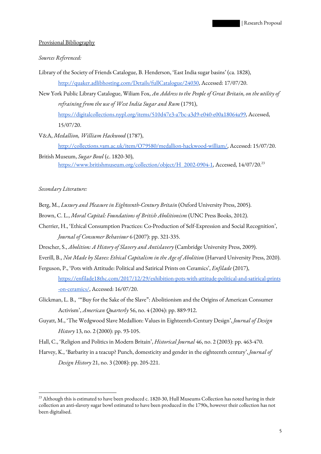## Provisional Bibliography

## *Sources Referenced:*

Library of the Society of Friends Catalogue, B. Henderson, 'East India sugar basins' (ca. 1828),

http://quaker.adlibhosting.com/Details/fullCatalogue/24030, Accessed: 17/07/20.

New York Public Library Catalogue, Wiliam Fox, *An Address to the People of Great Britain, on the utility of refraining from the use of West India Sugar and Rum* (1791), https://digitalcollections.nypl.org/items/510d47e3-a7bc-a3d9-e040-e00a18064a99, Accessed,

15/07/20.

V&A, *Medallion, William Hackwood* (1787),

http://collections.vam.ac.uk/item/O79580/medallion-hackwood-william/, Accessed: 15/07/20.

British Museum, *Sugar Bowl* (c. 1820-30), https://www.britishmuseum.org/collection/object/H 2002-0904-1, Accessed, 14/07/20.<sup>23</sup>

*Secondary Literature:*

- Berg, M., *Luxury and Pleasure in Eighteenth-Century Britain* (Oxford University Press, 2005).
- Brown, C. L., *Moral Capital: Foundations of British Abolitionism* (UNC Press Books, 2012).
- Cherrier, H., 'Ethical Consumption Practices: Co-Production of Self-Expression and Social Recognition', *Journal of Consumer Behaviour* 6 (2007): pp. 321-335.
- Drescher, S., *Abolition: A History of Slavery and Antislavery* (Cambridge University Press, 2009).
- Everill, B., *Not Made by Slaves: Ethical Capitalism in the Age of Abolition* (Harvard University Press, 2020).
- Ferguson, P., 'Pots with Attitude: Political and Satirical Prints on Ceramics', *Enfilade* (2017), https://enfilade18thc.com/2017/12/29/exhibition-pots-with-attitude-political-and-satirical-prints -on-ceramics/, Accessed: 16/07/20.
- Glickman, L. B., '"Buy for the Sake of the Slave": Abolitionism and the Origins of American Consumer Activism', *American Quarterly* 56, no. 4 (2004): pp. 889-912.
- Guyatt, M., 'The Wedgwood Slave Medallion: Values in Eighteenth-Century Design', *Journal of Design History* 13, no. 2 (2000): pp. 93-105.
- Hall, C., 'Religion and Politics in Modern Britain', *Historical Journal* 46, no. 2 (2003): pp. 463-470.
- Harvey, K., 'Barbarity in a teacup? Punch, domesticity and gender in the eighteenth century', *Journal of Design History* 21, no. 3 (2008): pp. 205-221.

 $^{23}$  Although this is estimated to have been produced c. 1820-30, Hull Museums Collection has noted having in their collection an anti-slavery sugar bowl estimated to have been produced in the 1790s, however their collection has not been digitalised.